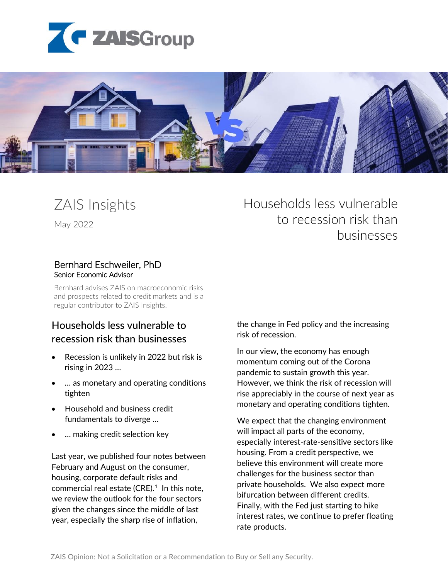



## ZAIS Insights

May 2022

# Bernhard Eschweiler, PhD Senior Economic Advisor

Bernhard advises ZAIS on macroeconomic risks and prospects related to credit markets and is a regular contributor to ZAIS Insights.

## Households less vulnerable to recession risk than businesses

- Recession is unlikely in 2022 but risk is rising in 2023 …
- … as monetary and operating conditions tighten
- Household and business credit fundamentals to diverge …
- ... making credit selection key

Last year, we published four notes between February and August on the consumer, housing, corporate default risks and commercial real estate (CRE). $1$  In this note, we review the outlook for the four sectors given the changes since the middle of last year, especially the sharp rise of inflation,

Households less vulnerable to recession risk than businesses

the change in Fed policy and the increasing risk of recession.

In our view, the economy has enough momentum coming out of the Corona pandemic to sustain growth this year. However, we think the risk of recession will rise appreciably in the course of next year as monetary and operating conditions tighten.

We expect that the changing environment will impact all parts of the economy, especially interest-rate-sensitive sectors like housing. From a credit perspective, we believe this environment will create more challenges for the business sector than private households. We also expect more bifurcation between different credits. Finally, with the Fed just starting to hike interest rates, we continue to prefer floating rate products.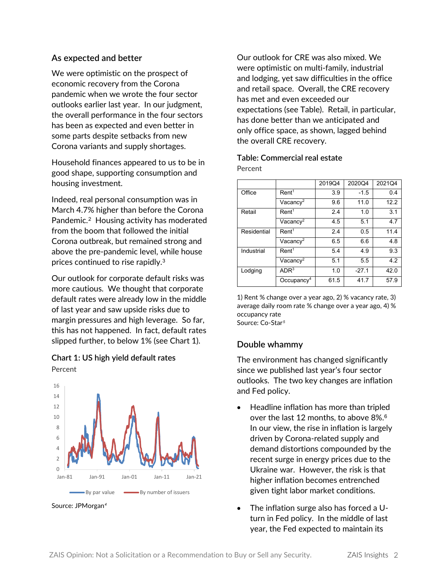## **As expected and better**

We were optimistic on the prospect of economic recovery from the Corona pandemic when we wrote the four sector outlooks earlier last year. In our judgment, the overall performance in the four sectors has been as expected and even better in some parts despite setbacks from new Corona variants and supply shortages.

Household finances appeared to us to be in good shape, supporting consumption and housing investment.

Indeed, real personal consumption was in March 4.7% higher than before the Corona Pandemic.[2](#page-5-1) Housing activity has moderated from the boom that followed the initial Corona outbreak, but remained strong and above the pre-pandemic level, while house prices continued to rise rapidly.[3](#page-5-2)

Our outlook for corporate default risks was more cautious. We thought that corporate default rates were already low in the middle of last year and saw upside risks due to margin pressures and high leverage. So far, this has not happened. In fact, default rates slipped further, to below 1% (see Chart 1).

**Chart 1: US high yield default rates** Percent



Source: JPMorgan*[4](#page-6-0)*

Our outlook for CRE was also mixed. We were optimistic on multi-family, industrial and lodging, yet saw difficulties in the office and retail space. Overall, the CRE recovery has met and even exceeded our expectations (see Table). Retail, in particular, has done better than we anticipated and only office space, as shown, lagged behind the overall CRE recovery.

| Table: Commercial real estate |  |
|-------------------------------|--|
| Percent                       |  |

|             |                        | 2019Q4 | 2020Q4  | 2021Q4 |
|-------------|------------------------|--------|---------|--------|
| Office      | Rent <sup>1</sup>      | 3.9    | $-1.5$  | 0.4    |
|             | Vacancy <sup>2</sup>   | 9.6    | 11.0    | 12.2   |
| Retail      | Rent <sup>1</sup>      | 2.4    | 1.0     | 3.1    |
|             | Vacancy <sup>2</sup>   | 4.5    | 5.1     | 4.7    |
| Residential | Rent <sup>1</sup>      | 2.4    | 0.5     | 11.4   |
|             | Vacancy <sup>2</sup>   | 6.5    | 6.6     | 4.8    |
| Industrial  | Rent <sup>1</sup>      | 5.4    | 4.9     | 9.3    |
|             | Vacancy <sup>2</sup>   | 5.1    | 5.5     | 4.2    |
| Lodging     | ADR <sup>3</sup>       | 1.0    | $-27.1$ | 42.0   |
|             | Occupancy <sup>4</sup> | 61.5   | 41.7    | 57.9   |

1) Rent % change over a year ago, 2) % vacancy rate, 3) average daily room rate % change over a year ago, 4) % occupancy rate Source: Co-Star*[5](#page-6-1)*

## **Double whammy**

The environment has changed significantly since we published last year's four sector outlooks. The two key changes are inflation and Fed policy.

- Headline inflation has more than tripled over the last 12 months, to above 8%.<sup>[6](#page-6-2)</sup> In our view, the rise in inflation is largely driven by Corona-related supply and demand distortions compounded by the recent surge in energy prices due to the Ukraine war. However, the risk is that higher inflation becomes entrenched given tight labor market conditions.
- The inflation surge also has forced a Uturn in Fed policy. In the middle of last year, the Fed expected to maintain its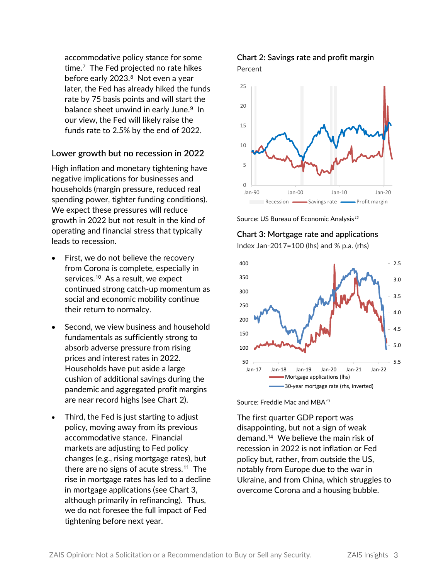accommodative policy stance for some time.[7](#page-6-3) The Fed projected no rate hikes before early 2023.<sup>[8](#page-7-0)</sup> Not even a year later, the Fed has already hiked the funds rate by 75 basis points and will start the balance sheet unwind in early June. [9](#page-7-1) In our view, the Fed will likely raise the funds rate to 2.5% by the end of 2022.

## **Lower growth but no recession in 2022**

High inflation and monetary tightening have negative implications for businesses and households (margin pressure, reduced real spending power, tighter funding conditions). We expect these pressures will reduce growth in 2022 but not result in the kind of operating and financial stress that typically leads to recession.

- First, we do not believe the recovery from Corona is complete, especially in services.<sup>[10](#page-7-2)</sup> As a result, we expect continued strong catch-up momentum as social and economic mobility continue their return to normalcy.
- Second, we view business and household fundamentals as sufficiently strong to absorb adverse pressure from rising prices and interest rates in 2022. Households have put aside a large cushion of additional savings during the pandemic and aggregated profit margins are near record highs (see Chart 2).
- Third, the Fed is just starting to adjust policy, moving away from its previous accommodative stance. Financial markets are adjusting to Fed policy changes (e.g., rising mortgage rates), but there are no signs of acute stress.[11](#page-7-3) The rise in mortgage rates has led to a decline in mortgage applications (see Chart 3, although primarily in refinancing). Thus, we do not foresee the full impact of Fed tightening before next year.

## **Chart 2: Savings rate and profit margin** Percent









Source: Freddie Mac and MBA*[13](#page-8-0)*

The first quarter GDP report was disappointing, but not a sign of weak demand.[14](#page-8-1) We believe the main risk of recession in 2022 is not inflation or Fed policy but, rather, from outside the US, notably from Europe due to the war in Ukraine, and from China, which struggles to overcome Corona and a housing bubble.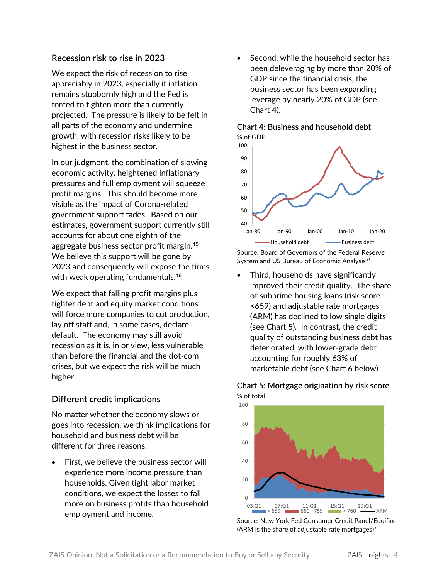## **Recession risk to rise in 2023**

We expect the risk of recession to rise appreciably in 2023, especially if inflation remains stubbornly high and the Fed is forced to tighten more than currently projected. The pressure is likely to be felt in all parts of the economy and undermine growth, with recession risks likely to be highest in the business sector.

In our judgment, the combination of slowing economic activity, heightened inflationary pressures and full employment will squeeze profit margins. This should become more visible as the impact of Corona-related government support fades. Based on our estimates, government support currently still accounts for about one eighth of the aggregate business sector profit margin.[15](#page-8-2) We believe this support will be gone by 2023 and consequently will expose the firms with weak operating fundamentals.<sup>[16](#page-9-0)</sup>

We expect that falling profit margins plus tighter debt and equity market conditions will force more companies to cut production, lay off staff and, in some cases, declare default. The economy may still avoid recession as it is, in or view, less vulnerable than before the financial and the dot-com crises, but we expect the risk will be much higher.

## **Different credit implications**

No matter whether the economy slows or goes into recession, we think implications for household and business debt will be different for three reasons.

First, we believe the business sector will experience more income pressure than households. Given tight labor market conditions, we expect the losses to fall more on business profits than household employment and income.

• Second, while the household sector has been deleveraging by more than 20% of GDP since the financial crisis, the business sector has been expanding leverage by nearly 20% of GDP (see Chart 4).

**Chart 4: Business and household debt**



#### Source: Board of Governors of the Federal Reserve System and US Bureau of Economic Analysis*[17](#page-9-1)*

• Third, households have significantly improved their credit quality. The share of subprime housing loans (risk score <659) and adjustable rate mortgages (ARM) has declined to low single digits (see Chart 5). In contrast, the credit quality of outstanding business debt has deteriorated, with lower-grade debt accounting for roughly 63% of marketable debt (see Chart 6 below).

## **Chart 5: Mortgage origination by risk score** % of total



Source: New York Fed Consumer Credit Panel/Equifax (ARM is the share of adjustable rate mortgages)*[18](#page-9-2)*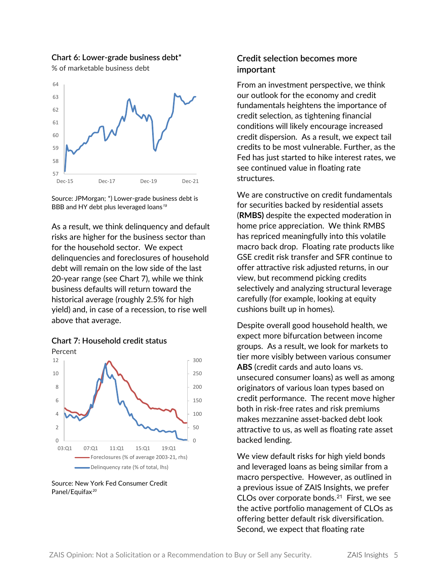#### **Chart 6: Lower-grade business debt\***

% of marketable business debt



Source: JPMorgan; \*) Lower-grade business debt is BBB and HY debt plus leveraged loans*[19](#page-9-3)*

As a result, we think delinquency and default risks are higher for the business sector than for the household sector. We expect delinquencies and foreclosures of household debt will remain on the low side of the last 20-year range (see Chart 7), while we think business defaults will return toward the historical average (roughly 2.5% for high yield) and, in case of a recession, to rise well above that average.





Source: New York Fed Consumer Credit Panel/Equifax*[20](#page-9-4)*

## **Credit selection becomes more important**

From an investment perspective, we think our outlook for the economy and credit fundamentals heightens the importance of credit selection, as tightening financial conditions will likely encourage increased credit dispersion. As a result, we expect tail credits to be most vulnerable. Further, as the Fed has just started to hike interest rates, we see continued value in floating rate structures.

We are constructive on credit fundamentals for securities backed by residential assets (**RMBS)** despite the expected moderation in home price appreciation. We think RMBS has repriced meaningfully into this volatile macro back drop. Floating rate products like GSE credit risk transfer and SFR continue to offer attractive risk adjusted returns, in our view, but recommend picking credits selectively and analyzing structural leverage carefully (for example, looking at equity cushions built up in homes).

Despite overall good household health, we expect more bifurcation between income groups. As a result, we look for markets to tier more visibly between various consumer **ABS** (credit cards and auto loans vs. unsecured consumer loans) as well as among originators of various loan types based on credit performance. The recent move higher both in risk-free rates and risk premiums makes mezzanine asset-backed debt look attractive to us, as well as floating rate asset backed lending.

We view default risks for high yield bonds and leveraged loans as being similar from a macro perspective. However, as outlined in a previous issue of ZAIS Insights, we prefer CLOs over corporate bonds.[21](#page-9-5) First, we see the active portfolio management of CLOs as offering better default risk diversification. Second, we expect that floating rate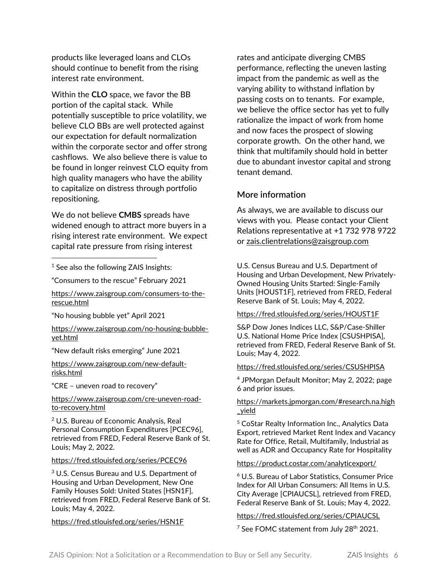products like leveraged loans and CLOs should continue to benefit from the rising interest rate environment.

Within the **CLO** space, we favor the BB portion of the capital stack. While potentially susceptible to price volatility, we believe CLO BBs are well protected against our expectation for default normalization within the corporate sector and offer strong cashflows. We also believe there is value to be found in longer reinvest CLO equity from high quality managers who have the ability to capitalize on distress through portfolio repositioning.

We do not believe **CMBS** spreads have widened enough to attract more buyers in a rising interest rate environment. We expect capital rate pressure from rising interest

<span id="page-5-0"></span><sup>1</sup> See also the following ZAIS Insights:

"Consumers to the rescue" February 2021

[https://www.zaisgroup.com/consumers-to-the](https://www.zaisgroup.com/consumers-to-the-rescue.html)[rescue.html](https://www.zaisgroup.com/consumers-to-the-rescue.html)

"No housing bubble yet" April 2021

[https://www.zaisgroup.com/no-housing-bubble](https://www.zaisgroup.com/no-housing-bubble-yet.html)[yet.html](https://www.zaisgroup.com/no-housing-bubble-yet.html)

"New default risks emerging" June 2021

[https://www.zaisgroup.com/new-default](https://www.zaisgroup.com/new-default-risks.html)[risks.html](https://www.zaisgroup.com/new-default-risks.html)

"CRE – uneven road to recovery"

[https://www.zaisgroup.com/cre-uneven-road](https://www.zaisgroup.com/cre-uneven-road-to-recovery.html)[to-recovery.html](https://www.zaisgroup.com/cre-uneven-road-to-recovery.html)

<span id="page-5-1"></span><sup>2</sup> U.S. Bureau of Economic Analysis, Real Personal Consumption Expenditures [PCEC96], retrieved from FRED, Federal Reserve Bank of St. Louis; May 2, 2022.

#### <https://fred.stlouisfed.org/series/PCEC96>

<span id="page-5-2"></span><sup>3</sup> U.S. Census Bureau and U.S. Department of Housing and Urban Development, New One Family Houses Sold: United States [HSN1F], retrieved from FRED, Federal Reserve Bank of St. Louis; May 4, 2022.

<https://fred.stlouisfed.org/series/HSN1F>

rates and anticipate diverging CMBS performance, reflecting the uneven lasting impact from the pandemic as well as the varying ability to withstand inflation by passing costs on to tenants. For example, we believe the office sector has yet to fully rationalize the impact of work from home and now faces the prospect of slowing corporate growth. On the other hand, we think that multifamily should hold in better due to abundant investor capital and strong tenant demand.

#### **More information**

As always, we are available to discuss our views with you. Please contact your Client Relations representative at +1 732 978 9722 or [zais.clientrelations@zaisgroup.com](mailto:zais.clientrelations@zaisgroup.com)

U.S. Census Bureau and U.S. Department of Housing and Urban Development, New Privately-Owned Housing Units Started: Single-Family Units [HOUST1F], retrieved from FRED, Federal Reserve Bank of St. Louis; May 4, 2022.

#### <https://fred.stlouisfed.org/series/HOUST1F>

S&P Dow Jones Indices LLC, S&P/Case-Shiller U.S. National Home Price Index [CSUSHPISA], retrieved from FRED, Federal Reserve Bank of St. Louis; May 4, 2022.

#### <https://fred.stlouisfed.org/series/CSUSHPISA>

<sup>4</sup> JPMorgan Default Monitor; May 2, 2022; page 6 and prior issues.

#### [https://markets.jpmorgan.com/#research.na.high](https://markets.jpmorgan.com/#research.na.high_yield) [\\_yield](https://markets.jpmorgan.com/#research.na.high_yield)

<sup>5</sup> CoStar Realty Information Inc., Analytics Data Export, retrieved Market Rent Index and Vacancy Rate for Office, Retail, Multifamily, Industrial as well as ADR and Occupancy Rate for Hospitality

#### <https://product.costar.com/analyticexport/>

 $<sup>6</sup>$  U.S. Bureau of Labor Statistics, Consumer Price</sup> Index for All Urban Consumers: All Items in U.S. City Average [CPIAUCSL], retrieved from FRED, Federal Reserve Bank of St. Louis; May 4, 2022.

#### <https://fred.stlouisfed.org/series/CPIAUCSL>

 $7$  See FOMC statement from July 28<sup>th</sup> 2021.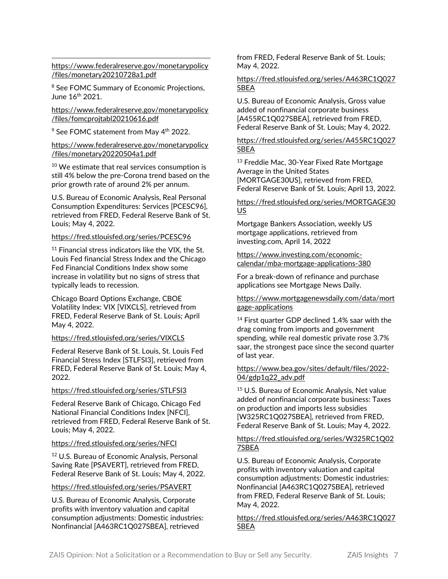[https://www.federalreserve.gov/monetarypolicy](https://www.federalreserve.gov/monetarypolicy/files/monetary20210728a1.pdf) [/files/monetary20210728a1.pdf](https://www.federalreserve.gov/monetarypolicy/files/monetary20210728a1.pdf)

<sup>8</sup> See FOMC Summary of Economic Projections, June 16th 2021.

[https://www.federalreserve.gov/monetarypolicy](https://www.federalreserve.gov/monetarypolicy/files/fomcprojtabl20210616.pdf) [/files/fomcprojtabl20210616.pdf](https://www.federalreserve.gov/monetarypolicy/files/fomcprojtabl20210616.pdf)

<sup>9</sup> See FOMC statement from May 4<sup>th</sup> 2022.

#### [https://www.federalreserve.gov/monetarypolicy](https://www.federalreserve.gov/monetarypolicy/files/monetary20220504a1.pdf) [/files/monetary20220504a1.pdf](https://www.federalreserve.gov/monetarypolicy/files/monetary20220504a1.pdf)

<sup>10</sup> We estimate that real services consumption is still 4% below the pre-Corona trend based on the prior growth rate of around 2% per annum.

U.S. Bureau of Economic Analysis, Real Personal Consumption Expenditures: Services [PCESC96], retrieved from FRED, Federal Reserve Bank of St. Louis; May 4, 2022.

#### <https://fred.stlouisfed.org/series/PCESC96>

<sup>11</sup> Financial stress indicators like the VIX, the St. Louis Fed financial Stress Index and the Chicago Fed Financial Conditions Index show some increase in volatility but no signs of stress that typically leads to recession.

Chicago Board Options Exchange, CBOE Volatility Index: VIX [VIXCLS], retrieved from FRED, Federal Reserve Bank of St. Louis; April May 4, 2022.

#### <https://fred.stlouisfed.org/series/VIXCLS>

Federal Reserve Bank of St. Louis, St. Louis Fed Financial Stress Index [STLFSI3], retrieved from FRED, Federal Reserve Bank of St. Louis; May 4, 2022.

#### <span id="page-6-0"></span><https://fred.stlouisfed.org/series/STLFSI3>

<span id="page-6-1"></span>Federal Reserve Bank of Chicago, Chicago Fed National Financial Conditions Index [NFCI], retrieved from FRED, Federal Reserve Bank of St. Louis; May 4, 2022.

#### <https://fred.stlouisfed.org/series/NFCI>

<sup>12</sup> U.S. Bureau of Economic Analysis, Personal Saving Rate [PSAVERT], retrieved from FRED, Federal Reserve Bank of St. Louis; May 4, 2022.

#### <span id="page-6-2"></span><https://fred.stlouisfed.org/series/PSAVERT>

<span id="page-6-3"></span>U.S. Bureau of Economic Analysis, Corporate profits with inventory valuation and capital consumption adjustments: Domestic industries: Nonfinancial [A463RC1Q027SBEA], retrieved

from FRED, Federal Reserve Bank of St. Louis; May 4, 2022.

#### [https://fred.stlouisfed.org/series/A463RC1Q027](https://fred.stlouisfed.org/series/A463RC1Q027SBEA) [SBEA](https://fred.stlouisfed.org/series/A463RC1Q027SBEA)

U.S. Bureau of Economic Analysis, Gross value added of nonfinancial corporate business [A455RC1Q027SBEA], retrieved from FRED, Federal Reserve Bank of St. Louis; May 4, 2022.

#### [https://fred.stlouisfed.org/series/A455RC1Q027](https://fred.stlouisfed.org/series/A455RC1Q027SBEA) [SBEA](https://fred.stlouisfed.org/series/A455RC1Q027SBEA)

<sup>13</sup> Freddie Mac, 30-Year Fixed Rate Mortgage Average in the United States [MORTGAGE30US], retrieved from FRED, Federal Reserve Bank of St. Louis; April 13, 2022.

#### [https://fred.stlouisfed.org/series/MORTGAGE30](https://fred.stlouisfed.org/series/MORTGAGE30US) [US](https://fred.stlouisfed.org/series/MORTGAGE30US)

Mortgage Bankers Association, weekly US mortgage applications, retrieved from investing.com, April 14, 2022

[https://www.investing.com/economic](https://www.investing.com/economic-calendar/mba-mortgage-applications-380)[calendar/mba-mortgage-applications-380](https://www.investing.com/economic-calendar/mba-mortgage-applications-380)

For a break-down of refinance and purchase applications see Mortgage News Daily.

#### [https://www.mortgagenewsdaily.com/data/mort](https://www.mortgagenewsdaily.com/data/mortgage-applications) [gage-applications](https://www.mortgagenewsdaily.com/data/mortgage-applications)

<sup>14</sup> First quarter GDP declined 1.4% saar with the drag coming from imports and government spending, while real domestic private rose 3.7% saar, the strongest pace since the second quarter of last year.

#### [https://www.bea.gov/sites/default/files/2022-](https://www.bea.gov/sites/default/files/2022-04/gdp1q22_adv.pdf) [04/gdp1q22\\_adv.pdf](https://www.bea.gov/sites/default/files/2022-04/gdp1q22_adv.pdf)

<sup>15</sup> U.S. Bureau of Economic Analysis, Net value added of nonfinancial corporate business: Taxes on production and imports less subsidies [W325RC1Q027SBEA], retrieved from FRED, Federal Reserve Bank of St. Louis; May 4, 2022.

#### [https://fred.stlouisfed.org/series/W325RC1Q02](https://fred.stlouisfed.org/series/W325RC1Q027SBEA) [7SBEA](https://fred.stlouisfed.org/series/W325RC1Q027SBEA)

U.S. Bureau of Economic Analysis, Corporate profits with inventory valuation and capital consumption adjustments: Domestic industries: Nonfinancial [A463RC1Q027SBEA], retrieved from FRED, Federal Reserve Bank of St. Louis; May 4, 2022.

#### [https://fred.stlouisfed.org/series/A463RC1Q027](https://fred.stlouisfed.org/series/A463RC1Q027SBEA) [SBEA](https://fred.stlouisfed.org/series/A463RC1Q027SBEA)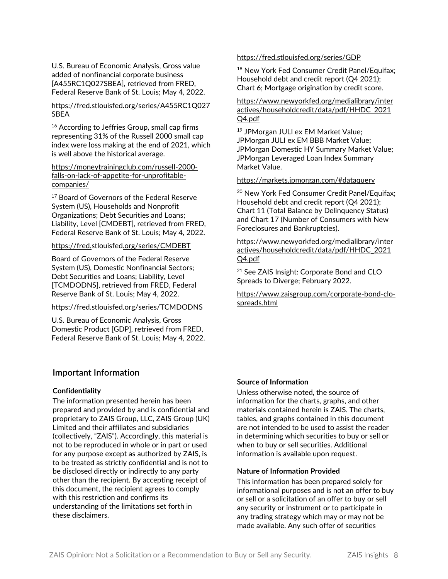U.S. Bureau of Economic Analysis, Gross value added of nonfinancial corporate business [A455RC1Q027SBEA], retrieved from FRED, Federal Reserve Bank of St. Louis; May 4, 2022.

#### <span id="page-7-0"></span>[https://fred.stlouisfed.org/series/A455RC1Q027](https://fred.stlouisfed.org/series/A455RC1Q027SBEA) [SBEA](https://fred.stlouisfed.org/series/A455RC1Q027SBEA)

<span id="page-7-1"></span><sup>16</sup> According to Jeffries Group, small cap firms representing 31% of the Russell 2000 small cap index were loss making at the end of 2021, which is well above the historical average.

#### <span id="page-7-2"></span>[https://moneytrainingclub.com/russell-2000](https://moneytrainingclub.com/russell-2000-falls-on-lack-of-appetite-for-unprofitable-companies/) [falls-on-lack-of-appetite-for-unprofitable](https://moneytrainingclub.com/russell-2000-falls-on-lack-of-appetite-for-unprofitable-companies/)[companies/](https://moneytrainingclub.com/russell-2000-falls-on-lack-of-appetite-for-unprofitable-companies/)

<sup>17</sup> Board of Governors of the Federal Reserve System (US), Households and Nonprofit Organizations; Debt Securities and Loans; Liability, Level [CMDEBT], retrieved from FRED, Federal Reserve Bank of St. Louis; May 4, 2022.

#### <span id="page-7-3"></span><https://fred.stlouisfed.org/series/CMDEBT>

Board of Governors of the Federal Reserve System (US), Domestic Nonfinancial Sectors; Debt Securities and Loans; Liability, Level [TCMDODNS], retrieved from FRED, Federal Reserve Bank of St. Louis; May 4, 2022.

#### <https://fred.stlouisfed.org/series/TCMDODNS>

U.S. Bureau of Economic Analysis, Gross Domestic Product [GDP], retrieved from FRED, Federal Reserve Bank of St. Louis; May 4, 2022.

## **Important Information**

#### **Confidentiality**

<span id="page-7-4"></span>The information presented herein has been prepared and provided by and is confidential and proprietary to ZAIS Group, LLC, ZAIS Group (UK) Limited and their affiliates and subsidiaries (collectively, "ZAIS"). Accordingly, this material is not to be reproduced in whole or in part or used for any purpose except as authorized by ZAIS, is to be treated as strictly confidential and is not to be disclosed directly or indirectly to any party other than the recipient. By accepting receipt of this document, the recipient agrees to comply with this restriction and confirms its understanding of the limitations set forth in these disclaimers.

#### <https://fred.stlouisfed.org/series/GDP>

<sup>18</sup> New York Fed Consumer Credit Panel/Equifax; Household debt and credit report (Q4 2021); Chart 6; Mortgage origination by credit score.

[https://www.newyorkfed.org/medialibrary/inter](https://www.newyorkfed.org/medialibrary/interactives/householdcredit/data/pdf/HHDC_2021Q4.pdf) [actives/householdcredit/data/pdf/HHDC\\_2021](https://www.newyorkfed.org/medialibrary/interactives/householdcredit/data/pdf/HHDC_2021Q4.pdf) [Q4.pdf](https://www.newyorkfed.org/medialibrary/interactives/householdcredit/data/pdf/HHDC_2021Q4.pdf)

<sup>19</sup> JPMorgan JULI ex EM Market Value; JPMorgan JULI ex EM BBB Market Value; JPMorgan Domestic HY Summary Market Value; JPMorgan Leveraged Loan Index Summary Market Value.

#### <https://markets.jpmorgan.com/#dataquery>

<sup>20</sup> New York Fed Consumer Credit Panel/Equifax; Household debt and credit report (Q4 2021); Chart 11 (Total Balance by Delinquency Status) and Chart 17 (Number of Consumers with New Foreclosures and Bankruptcies).

[https://www.newyorkfed.org/medialibrary/inter](https://www.newyorkfed.org/medialibrary/interactives/householdcredit/data/pdf/HHDC_2021Q4.pdf) [actives/householdcredit/data/pdf/HHDC\\_2021](https://www.newyorkfed.org/medialibrary/interactives/householdcredit/data/pdf/HHDC_2021Q4.pdf) [Q4.pdf](https://www.newyorkfed.org/medialibrary/interactives/householdcredit/data/pdf/HHDC_2021Q4.pdf)

<sup>21</sup> See ZAIS Insight: Corporate Bond and CLO Spreads to Diverge; February 2022.

[https://www.zaisgroup.com/corporate-bond-clo](https://www.zaisgroup.com/corporate-bond-clo-spreads.html)[spreads.html](https://www.zaisgroup.com/corporate-bond-clo-spreads.html)

#### **Source of Information**

Unless otherwise noted, the source of information for the charts, graphs, and other materials contained herein is ZAIS. The charts, tables, and graphs contained in this document are not intended to be used to assist the reader in determining which securities to buy or sell or when to buy or sell securities. Additional information is available upon request.

#### **Nature of Information Provided**

This information has been prepared solely for informational purposes and is not an offer to buy or sell or a solicitation of an offer to buy or sell any security or instrument or to participate in any trading strategy which may or may not be made available. Any such offer of securities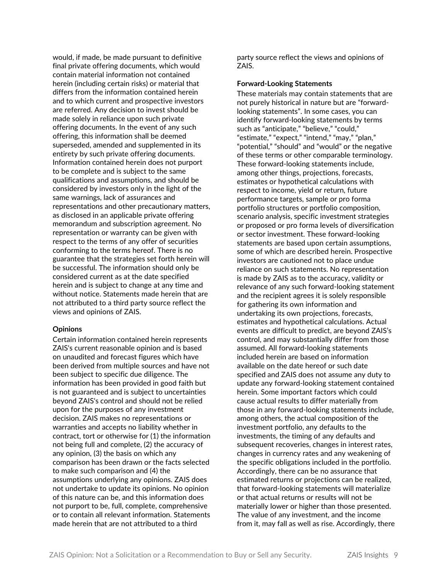<span id="page-8-0"></span>would, if made, be made pursuant to definitive final private offering documents, which would contain material information not contained herein (including certain risks) or material that differs from the information contained herein and to which current and prospective investors are referred. Any decision to invest should be made solely in reliance upon such private offering documents. In the event of any such offering, this information shall be deemed superseded, amended and supplemented in its entirety by such private offering documents. Information contained herein does not purport to be complete and is subject to the same qualifications and assumptions, and should be considered by investors only in the light of the same warnings, lack of assurances and representations and other precautionary matters, as disclosed in an applicable private offering memorandum and subscription agreement. No representation or warranty can be given with respect to the terms of any offer of securities conforming to the terms hereof. There is no guarantee that the strategies set forth herein will be successful. The information should only be considered current as at the date specified herein and is subject to change at any time and without notice. Statements made herein that are not attributed to a third party source reflect the views and opinions of ZAIS.

#### <span id="page-8-1"></span>**Opinions**

<span id="page-8-2"></span>Certain information contained herein represents ZAIS's current reasonable opinion and is based on unaudited and forecast figures which have been derived from multiple sources and have not been subject to specific due diligence. The information has been provided in good faith but is not guaranteed and is subject to uncertainties beyond ZAIS's control and should not be relied upon for the purposes of any investment decision. ZAIS makes no representations or warranties and accepts no liability whether in contract, tort or otherwise for (1) the information not being full and complete, (2) the accuracy of any opinion, (3) the basis on which any comparison has been drawn or the facts selected to make such comparison and (4) the assumptions underlying any opinions. ZAIS does not undertake to update its opinions. No opinion of this nature can be, and this information does not purport to be, full, complete, comprehensive or to contain all relevant information. Statements made herein that are not attributed to a third

party source reflect the views and opinions of ZAIS.

#### **Forward-Looking Statements**

These materials may contain statements that are not purely historical in nature but are "forwardlooking statements". In some cases, you can identify forward-looking statements by terms such as "anticipate," "believe," "could," "estimate," "expect," "intend," "may," "plan," "potential," "should" and "would" or the negative of these terms or other comparable terminology. These forward-looking statements include, among other things, projections, forecasts, estimates or hypothetical calculations with respect to income, yield or return, future performance targets, sample or pro forma portfolio structures or portfolio composition, scenario analysis, specific investment strategies or proposed or pro forma levels of diversification or sector investment. These forward-looking statements are based upon certain assumptions, some of which are described herein. Prospective investors are cautioned not to place undue reliance on such statements. No representation is made by ZAIS as to the accuracy, validity or relevance of any such forward-looking statement and the recipient agrees it is solely responsible for gathering its own information and undertaking its own projections, forecasts, estimates and hypothetical calculations. Actual events are difficult to predict, are beyond ZAIS's control, and may substantially differ from those assumed. All forward-looking statements included herein are based on information available on the date hereof or such date specified and ZAIS does not assume any duty to update any forward-looking statement contained herein. Some important factors which could cause actual results to differ materially from those in any forward-looking statements include, among others, the actual composition of the investment portfolio, any defaults to the investments, the timing of any defaults and subsequent recoveries, changes in interest rates, changes in currency rates and any weakening of the specific obligations included in the portfolio. Accordingly, there can be no assurance that estimated returns or projections can be realized, that forward-looking statements will materialize or that actual returns or results will not be materially lower or higher than those presented. The value of any investment, and the income from it, may fall as well as rise. Accordingly, there